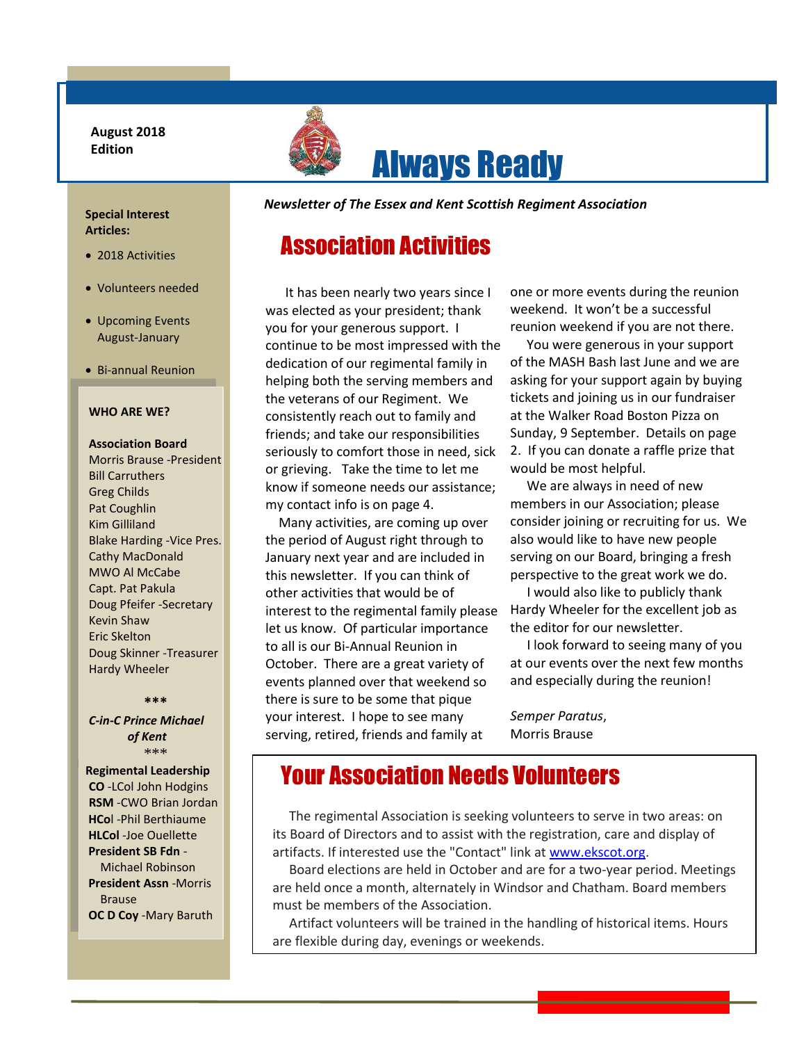**August 2018 Edition**



### **Special Interest Articles:**

- 2018 Activities
- Volunteers needed
- Upcoming Events August-January
- Bi-annual Reunion

#### **WHO ARE WE?**

## **Association Board** Morris Brause -President Bill Carruthers Greg Childs Pat Coughlin Kim Gilliland Blake Harding -Vice Pres. Cathy MacDonald MWO Al McCabe Capt. Pat Pakula Doug Pfeifer -Secretary Kevin Shaw Eric Skelton Doug Skinner -Treasurer Hardy Wheeler

#### **\*\*\***

#### *C-in-C Prince Michael of Kent* \*\*\*

 **Regimental Leadership CO** -LCol John Hodgins **RSM** -CWO Brian Jordan **HCo**l -Phil Berthiaume **HLCol** -Joe Ouellette **President SB Fdn** - Michael Robinson **President Assn** -Morris Brause **OC D Coy** -Mary Baruth

I

*Newsletter of The Essex and Kent Scottish Regiment Association*

Always Ready

# Association Activities

 It has been nearly two years since I was elected as your president; thank you for your generous support. I continue to be most impressed with the dedication of our regimental family in helping both the serving members and the veterans of our Regiment. We consistently reach out to family and friends; and take our responsibilities seriously to comfort those in need, sick or grieving. Take the time to let me know if someone needs our assistance; my contact info is on page 4.

 there is sure to be some that pique Many activities, are coming up over the period of August right through to January next year and are included in this newsletter. If you can think of other activities that would be of interest to the regimental family please let us know. Of particular importance to all is our Bi-Annual Reunion in October. There are a great variety of events planned over that weekend so your interest. I hope to see many serving, retired, friends and family at

one or more events during the reunion weekend. It won't be a successful reunion weekend if you are not there.

 You were generous in your support of the MASH Bash last June and we are asking for your support again by buying tickets and joining us in our fundraiser at the Walker Road Boston Pizza on Sunday, 9 September. Details on page 2. If you can donate a raffle prize that would be most helpful.

 We are always in need of new members in our Association; please consider joining or recruiting for us. We also would like to have new people serving on our Board, bringing a fresh perspective to the great work we do.

 I would also like to publicly thank Hardy Wheeler for the excellent job as the editor for our newsletter.

 I look forward to seeing many of you at our events over the next few months and especially during the reunion!

*Semper Paratus*, Morris Brause

# Your Association Needs Volunteers

 The regimental Association is seeking volunteers to serve in two areas: on its Board of Directors and to assist with the registration, care and display of artifacts. If interested use the "Contact" link a[t www.ekscot.org.](http://www.ekscot.org/)

<u>.</u>

 Board elections are held in October and are for a two-year period. Meetings are held once a month, alternately in Windsor and Chatham. Board members must be members of the Association.

 Artifact volunteers will be trained in the handling of historical items. Hours are flexible during day, evenings or weekends.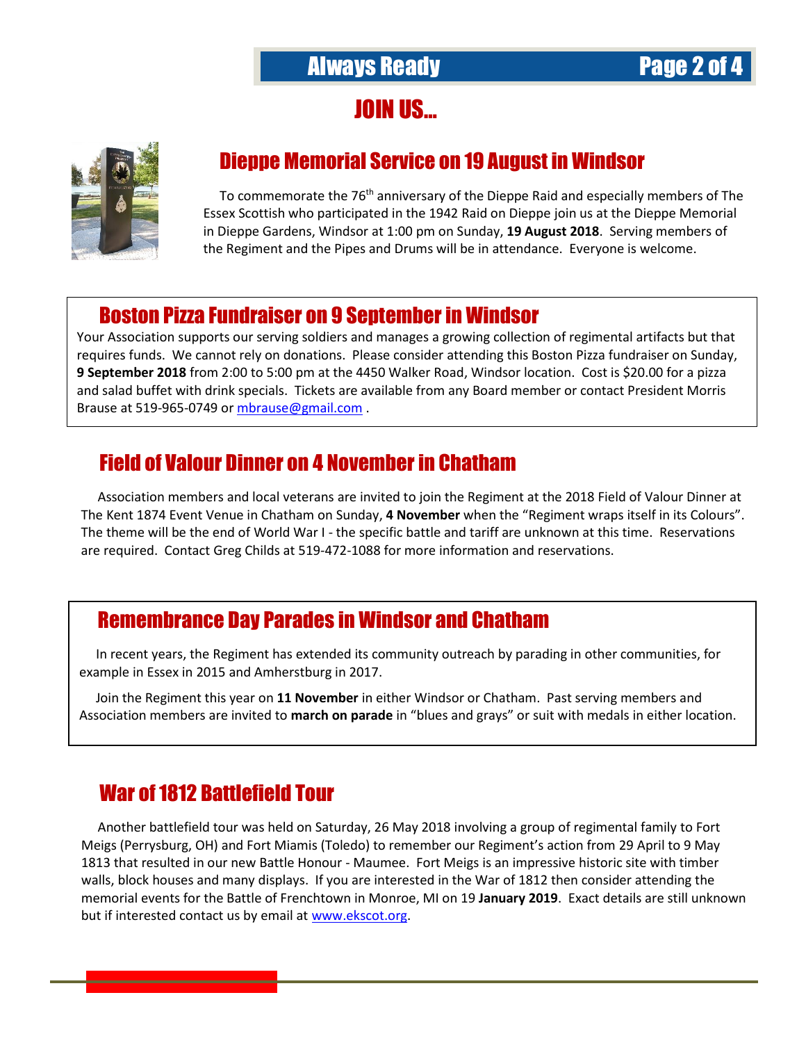JOIN US…



.

# Dieppe Memorial Service on 19 August in Windsor

To commemorate the 76<sup>th</sup> anniversary of the Dieppe Raid and especially members of The Essex Scottish who participated in the 1942 Raid on Dieppe join us at the Dieppe Memorial in Dieppe Gardens, Windsor at 1:00 pm on Sunday, **19 August 2018**. Serving members of the Regiment and the Pipes and Drums will be in attendance. Everyone is welcome.

## Boston Pizza Fundraiser on 9 September in Windsor

Your Association supports our serving soldiers and manages a growing collection of regimental artifacts but that requires funds. We cannot rely on donations. Please consider attending this Boston Pizza fundraiser on Sunday, **9 September 2018** from 2:00 to 5:00 pm at the 4450 Walker Road, Windsor location. Cost is \$20.00 for a pizza and salad buffet with drink specials. Tickets are available from any Board member or contact President Morris Brause at 519-965-0749 or [mbrause@gmail.com](mailto:mbrause@gmail.com) .

## Field of Valour Dinner on 4 Novemberin Chatham

 Association members and local veterans are invited to join the Regiment at the 2018 Field of Valour Dinner at The Kent 1874 Event Venue in Chatham on Sunday, **4 November** when the "Regiment wraps itself in its Colours". The theme will be the end of World War I - the specific battle and tariff are unknown at this time. Reservations are required. Contact Greg Childs at 519-472-1088 for more information and reservations.

## Remembrance Day Parades in Windsor and Chatham

 In recent years, the Regiment has extended its community outreach by parading in other communities, for example in Essex in 2015 and Amherstburg in 2017.

 Join the Regiment this year on **11 November** in either Windsor or Chatham. Past serving members and Association members are invited to **march on parade** in "blues and grays" or suit with medals in either location.

# War of 1812 Battlefield Tour

 Another battlefield tour was held on Saturday, 26 May 2018 involving a group of regimental family to Fort Meigs (Perrysburg, OH) and Fort Miamis (Toledo) to remember our Regiment's action from 29 April to 9 May 1813 that resulted in our new Battle Honour - Maumee. Fort Meigs is an impressive historic site with timber walls, block houses and many displays. If you are interested in the War of 1812 then consider attending the memorial events for the Battle of Frenchtown in Monroe, MI on 19 **January 2019**. Exact details are still unknown but if interested contact us by email a[t www.ekscot.org.](http://www.ekscot.org/)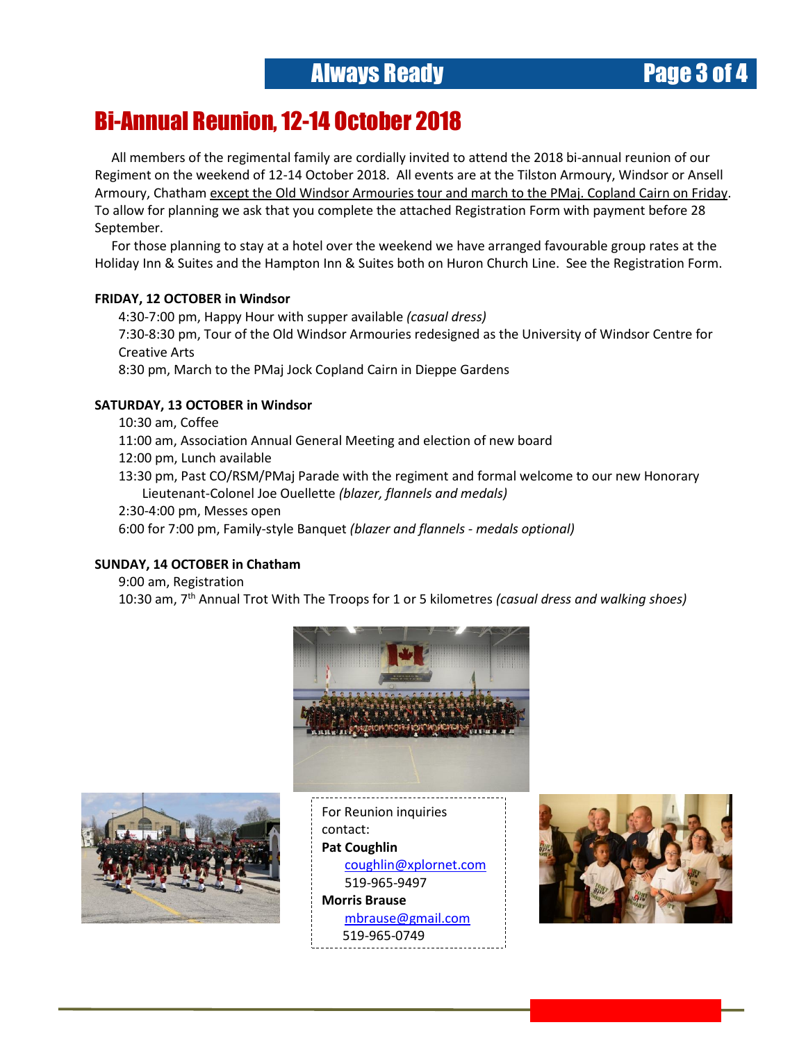# Always Ready Page 3 of 4

## Bi-Annual Reunion, 12-14 October 2018 L

 All members of the regimental family are cordially invited to attend the 2018 bi-annual reunion of our Regiment on the weekend of 12-14 October 2018. All events are at the Tilston Armoury, Windsor or Ansell Armoury, Chatham except the Old Windsor Armouries tour and march to the PMaj. Copland Cairn on Friday. To allow for planning we ask that you complete the attached Registration Form with payment before 28 September.

 For those planning to stay at a hotel over the weekend we have arranged favourable group rates at the Holiday Inn & Suites and the Hampton Inn & Suites both on Huron Church Line. See the Registration Form.

## **FRIDAY, 12 OCTOBER in Windsor**

4:30-7:00 pm, Happy Hour with supper available *(casual dress)* 7:30-8:30 pm, Tour of the Old Windsor Armouries redesigned as the University of Windsor Centre for Creative Arts 8:30 pm, March to the PMaj Jock Copland Cairn in Dieppe Gardens

## **SATURDAY, 13 OCTOBER in Windsor**

10:30 am, Coffee

11:00 am, Association Annual General Meeting and election of new board

12:00 pm, Lunch available

13:30 pm, Past CO/RSM/PMaj Parade with the regiment and formal welcome to our new Honorary Lieutenant-Colonel Joe Ouellette *(blazer, flannels and medals)*

2:30-4:00 pm, Messes open

6:00 for 7:00 pm, Family-style Banquet *(blazer and flannels - medals optional)*

## **SUNDAY, 14 OCTOBER in Chatham**

9:00 am, Registration

10:30 am, 7 th Annual Trot With The Troops for 1 or 5 kilometres *(casual dress and walking shoes)*





For Reunion inquiries contact: **Pat Coughlin** [coughlin@xplornet.com](mailto:coughlin@xplornet.com) 519-965-9497 **Morris Brause** [mbrause@gmail.com](mailto:mbrause@gmail.com) 519-965-0749

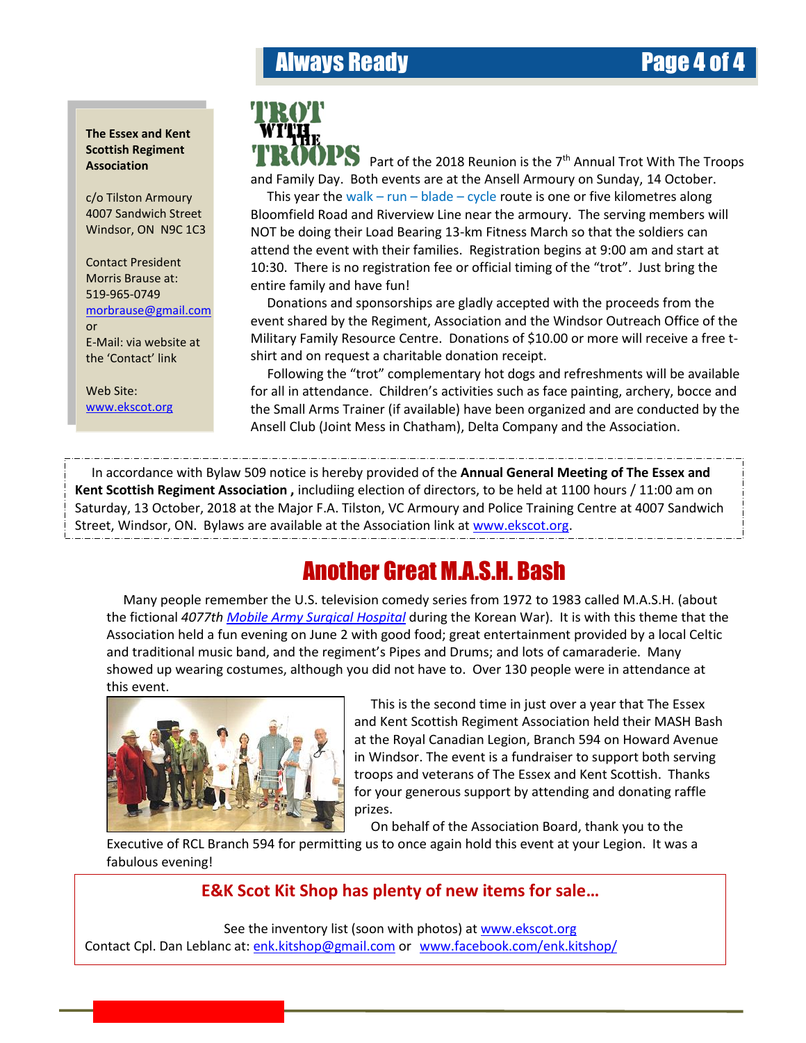# Always Ready Page 4 of 4

### **The Essex and Kent Scottish Regiment Association**

c/o Tilston Armoury 4007 Sandwich Street Windsor, ON N9C 1C3

Contact President Morris Brause at: 519-965-0749 [morbrause@gmail.com](mailto:morbrause@gmail.com) or

E-Mail: via website at the 'Contact' link

Web Site: [www.ekscot.org](file:///C:/Users/hardyw/Documents/EK%20Scot%20&%20Assn/www.ekscot.org)



Part of the 2018 Reunion is the  $7<sup>th</sup>$  Annual Trot With The Troops and Family Day. Both events are at the Ansell Armoury on Sunday, 14 October.

 NOT be doing their Load Bearing 13-km Fitness March so that the soldiers can This year the walk – run – blade – cycle route is one or five kilometres along Bloomfield Road and Riverview Line near the armoury. The serving members will attend the event with their families. Registration begins at 9:00 am and start at 10:30. There is no registration fee or official timing of the "trot". Just bring the entire family and have fun!

 Donations and sponsorships are gladly accepted with the proceeds from the event shared by the Regiment, Association and the Windsor Outreach Office of the Military Family Resource Centre. Donations of \$10.00 or more will receive a free tshirt and on request a charitable donation receipt.

 Following the "trot" complementary hot dogs and refreshments will be available for all in attendance. Children's activities such as face painting, archery, bocce and the Small Arms Trainer (if available) have been organized and are conducted by the Ansell Club (Joint Mess in Chatham), Delta Company and the Association.

 In accordance with Bylaw 509 notice is hereby provided of the **Annual General Meeting of The Essex and Kent Scottish Regiment Association ,** includiing election of directors, to be held at 1100 hours / 11:00 am on Saturday, 13 October, 2018 at the Major F.A. Tilston, VC Armoury and Police Training Centre at 4007 Sandwich Street, Windsor, ON. Bylaws are available at the Association link at [www.ekscot.org.](http://www.ekscot.org/)

# Another Great M.A.S.H. Bash

 Many people remember the U.S. television comedy series from 1972 to 1983 called M.A.S.H. (about the fictional *4077th Mobile Army Surgical Hospital* during the Korean War). It is with this theme that the Association held a fun evening on June 2 with good food; great entertainment provided by a local Celtic and traditional music band, and the regiment's Pipes and Drums; and lots of camaraderie. Many showed up wearing costumes, although you did not have to. Over 130 people were in attendance at this event.



 This is the second time in just over a year that The Essex and Kent Scottish Regiment Association held their MASH Bash at the Royal Canadian Legion, Branch 594 on Howard Avenue in Windsor. The event is a fundraiser to support both serving troops and veterans of The Essex and Kent Scottish. Thanks for your generous support by attending and donating raffle prizes.

On behalf of the Association Board, thank you to the

Executive of RCL Branch 594 for permitting us to once again hold this event at your Legion. It was a fabulous evening!

# **E&K Scot Kit Shop has plenty of new items for sale…**

See the inventory list (soon with photos) at [www.ekscot.org](http://www.ekscot.org/) Contact Cpl. Dan Leblanc at: [enk.kitshop@gmail.com](mailto:enk.kitshop@gmail.com) or [www.facebook.com/enk.kitshop/](http://www.facebook.com/enk.kitshop/)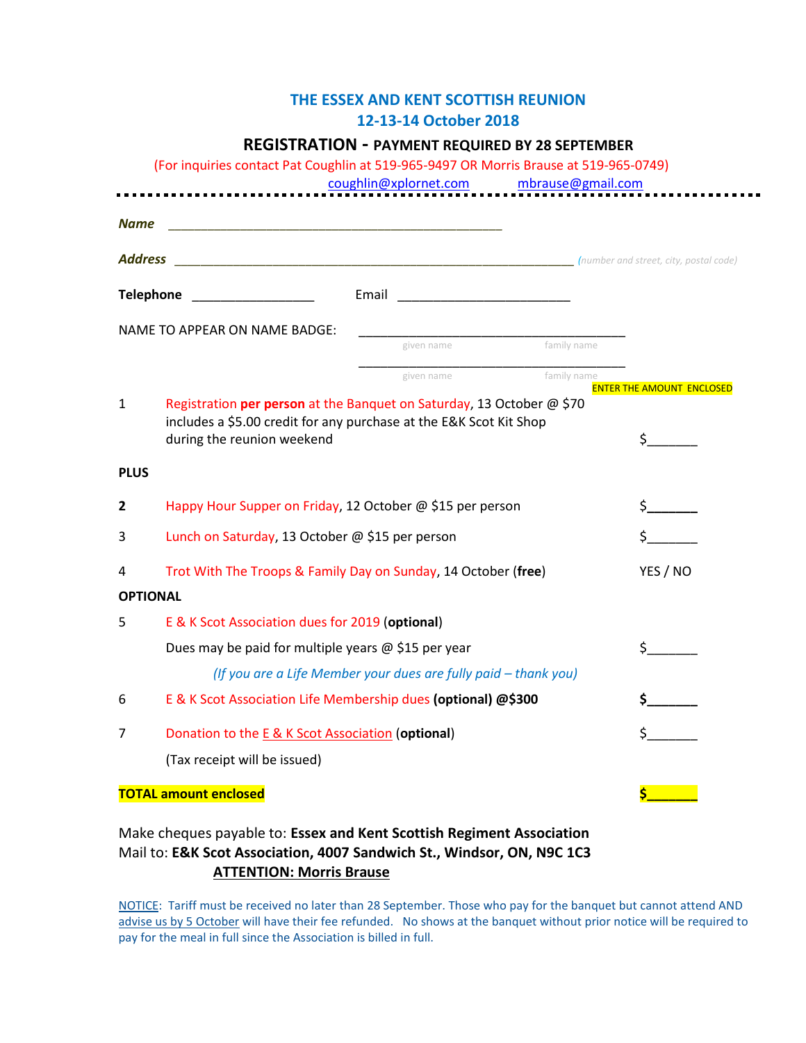## **THE ESSEX AND KENT SCOTTISH REUNION 12-13-14 October 2018**

## **REGISTRATION - PAYMENT REQUIRED BY 28 SEPTEMBER**

(For inquiries contact Pat Coughlin at 519-965-9497 OR Morris Brause at 519-965-0749)

[coughlin@xplornet.com](mailto:coughlin@xplornet.com) [mbrause@gmail.com](mailto:mbrause@gmail.com)

 $\blacksquare$ 

| <b>Name</b>                                              |                                                                                                                                                                           |                                                                 |             |                                  |
|----------------------------------------------------------|---------------------------------------------------------------------------------------------------------------------------------------------------------------------------|-----------------------------------------------------------------|-------------|----------------------------------|
| <b>Address</b><br>(number and street, city, postal code) |                                                                                                                                                                           |                                                                 |             |                                  |
| <b>Telephone</b>                                         |                                                                                                                                                                           |                                                                 |             |                                  |
|                                                          | <b>NAME TO APPEAR ON NAME BADGE:</b>                                                                                                                                      |                                                                 |             |                                  |
|                                                          |                                                                                                                                                                           | given name                                                      | family name |                                  |
|                                                          |                                                                                                                                                                           | given name                                                      | family name | <b>ENTER THE AMOUNT ENCLOSED</b> |
| 1                                                        | Registration per person at the Banquet on Saturday, 13 October @ \$70<br>includes a \$5.00 credit for any purchase at the E&K Scot Kit Shop<br>during the reunion weekend |                                                                 |             | $\sharp$ and $\sharp$            |
| <b>PLUS</b>                                              |                                                                                                                                                                           |                                                                 |             |                                  |
| $\overline{2}$                                           | Happy Hour Supper on Friday, 12 October @ \$15 per person                                                                                                                 |                                                                 |             |                                  |
| 3                                                        | Lunch on Saturday, 13 October @ \$15 per person                                                                                                                           |                                                                 |             |                                  |
| 4                                                        | Trot With The Troops & Family Day on Sunday, 14 October (free)                                                                                                            |                                                                 |             | YES / NO                         |
| <b>OPTIONAL</b>                                          |                                                                                                                                                                           |                                                                 |             |                                  |
| 5                                                        | E & K Scot Association dues for 2019 (optional)                                                                                                                           |                                                                 |             |                                  |
|                                                          | Dues may be paid for multiple years @ \$15 per year                                                                                                                       |                                                                 |             | $\frac{1}{2}$                    |
|                                                          |                                                                                                                                                                           | (If you are a Life Member your dues are fully paid - thank you) |             |                                  |
| 6                                                        | E & K Scot Association Life Membership dues (optional) @\$300                                                                                                             |                                                                 |             |                                  |
| 7                                                        | Donation to the E & K Scot Association (optional)                                                                                                                         |                                                                 |             |                                  |
|                                                          | (Tax receipt will be issued)                                                                                                                                              |                                                                 |             |                                  |
| <b>TOTAL amount enclosed</b>                             |                                                                                                                                                                           |                                                                 |             |                                  |

## Make cheques payable to: **Essex and Kent Scottish Regiment Association** Mail to: **E&K Scot Association, 4007 Sandwich St., Windsor, ON, N9C 1C3 ATTENTION: Morris Brause**

NOTICE: Tariff must be received no later than 28 September. Those who pay for the banquet but cannot attend AND advise us by 5 October will have their fee refunded. No shows at the banquet without prior notice will be required to pay for the meal in full since the Association is billed in full.